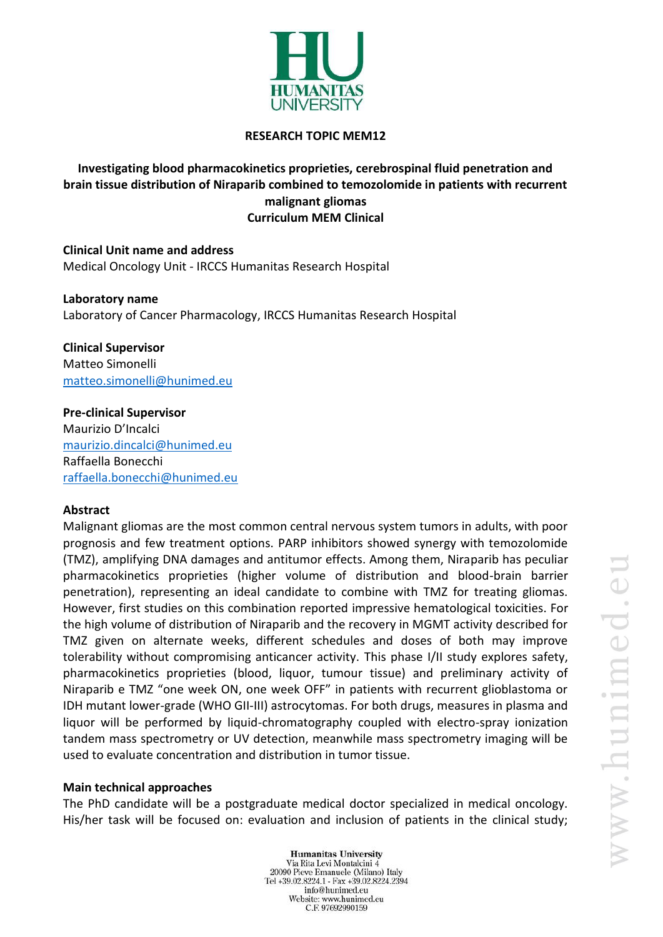

### **RESEARCH TOPIC MEM12**

# **Investigating blood pharmacokinetics proprieties, cerebrospinal fluid penetration and brain tissue distribution of Niraparib combined to temozolomide in patients with recurrent malignant gliomas Curriculum MEM Clinical**

**Clinical Unit name and address** Medical Oncology Unit - IRCCS Humanitas Research Hospital

**Laboratory name** Laboratory of Cancer Pharmacology, IRCCS Humanitas Research Hospital

**Clinical Supervisor** Matteo Simonelli [matteo.simonelli@hunimed.eu](mailto:matteo.simonelli@hunimed.eu)

**Pre-clinical Supervisor** Maurizio D'Incalci [maurizio.dincalci@hunimed.eu](mailto:maurizio.dincalci@hunimed.eu) Raffaella Bonecchi [raffaella.bonecchi@hunimed.eu](mailto:raffaella.bonecchi@hunimed.eu)

#### **Abstract**

Malignant gliomas are the most common central nervous system tumors in adults, with poor prognosis and few treatment options. PARP inhibitors showed synergy with temozolomide (TMZ), amplifying DNA damages and antitumor effects. Among them, Niraparib has peculiar pharmacokinetics proprieties (higher volume of distribution and blood-brain barrier penetration), representing an ideal candidate to combine with TMZ for treating gliomas. However, first studies on this combination reported impressive hematological toxicities. For the high volume of distribution of Niraparib and the recovery in MGMT activity described for TMZ given on alternate weeks, different schedules and doses of both may improve tolerability without compromising anticancer activity. This phase I/II study explores safety, pharmacokinetics proprieties (blood, liquor, tumour tissue) and preliminary activity of Niraparib e TMZ "one week ON, one week OFF" in patients with recurrent glioblastoma or IDH mutant lower-grade (WHO GII-III) astrocytomas. For both drugs, measures in plasma and liquor will be performed by liquid-chromatography coupled with electro-spray ionization tandem mass spectrometry or UV detection, meanwhile mass spectrometry imaging will be used to evaluate concentration and distribution in tumor tissue.

#### **Main technical approaches**

The PhD candidate will be a postgraduate medical doctor specialized in medical oncology. His/her task will be focused on: evaluation and inclusion of patients in the clinical study;

> **Humanitas University** Via Rita Levi Montalcini 4 20090 Pieve Emanuele (Milano) Italy Tel +39.02.8224.1 - Fax +39.02.8224.2394 info@hunimed.eu Website: www.hunimed.eu C.F. 97692990159